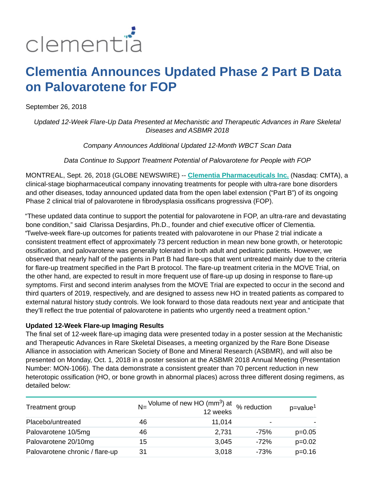

# **Clementia Announces Updated Phase 2 Part B Data on Palovarotene for FOP**

September 26, 2018

Updated 12-Week Flare-Up Data Presented at Mechanistic and Therapeutic Advances in Rare Skeletal Diseases and ASBMR 2018

Company Announces Additional Updated 12-Month WBCT Scan Data

Data Continue to Support Treatment Potential of Palovarotene for People with FOP

MONTREAL, Sept. 26, 2018 (GLOBE NEWSWIRE) -- **[Clementia Pharmaceuticals Inc.](https://www.globenewswire.com/Tracker?data=-QCJWDe9Eir0CUQWRJOKCCZxWlFN3H6HoJV-5PV5voIJjyueRWX6oJEMcZ4LTk-vnJUEMyVZWyb4sIshfnTxcI4LQmrx-j8kSr5f1eJmnL0=)** (Nasdaq: CMTA), a clinical-stage biopharmaceutical company innovating treatments for people with ultra-rare bone disorders and other diseases, today announced updated data from the open label extension ("Part B") of its ongoing Phase 2 clinical trial of palovarotene in fibrodysplasia ossificans progressiva (FOP).

"These updated data continue to support the potential for palovarotene in FOP, an ultra-rare and devastating bone condition," said Clarissa Desjardins, Ph.D., founder and chief executive officer of Clementia. "Twelve-week flare-up outcomes for patients treated with palovarotene in our Phase 2 trial indicate a consistent treatment effect of approximately 73 percent reduction in mean new bone growth, or heterotopic ossification, and palovarotene was generally tolerated in both adult and pediatric patients. However, we observed that nearly half of the patients in Part B had flare-ups that went untreated mainly due to the criteria for flare-up treatment specified in the Part B protocol. The flare-up treatment criteria in the MOVE Trial, on the other hand, are expected to result in more frequent use of flare-up up dosing in response to flare-up symptoms. First and second interim analyses from the MOVE Trial are expected to occur in the second and third quarters of 2019, respectively, and are designed to assess new HO in treated patients as compared to external natural history study controls. We look forward to those data readouts next year and anticipate that they'll reflect the true potential of palovarotene in patients who urgently need a treatment option."

#### **Updated 12-Week Flare-up Imaging Results**

The final set of 12-week flare-up imaging data were presented today in a poster session at the Mechanistic and Therapeutic Advances in Rare Skeletal Diseases, a meeting organized by the Rare Bone Disease Alliance in association with American Society of Bone and Mineral Research (ASBMR), and will also be presented on Monday, Oct. 1, 2018 in a poster session at the ASBMR 2018 Annual Meeting (Presentation Number: MON-1066). The data demonstrate a consistent greater than 70 percent reduction in new heterotopic ossification (HO, or bone growth in abnormal places) across three different dosing regimens, as detailed below:

| Treatment group                 |    | N= Volume of new HO (mm <sup>3</sup> ) at $%$ reduction<br>12 weeks |        | $p = value^1$ |
|---------------------------------|----|---------------------------------------------------------------------|--------|---------------|
| Placebo/untreated               | 46 | 11,014                                                              | -      |               |
| Palovarotene 10/5mg             | 46 | 2,731                                                               | -75%   | $p=0.05$      |
| Palovarotene 20/10mg            | 15 | 3,045                                                               | $-72%$ | $p=0.02$      |
| Palovarotene chronic / flare-up | 31 | 3,018                                                               | $-73%$ | $p=0.16$      |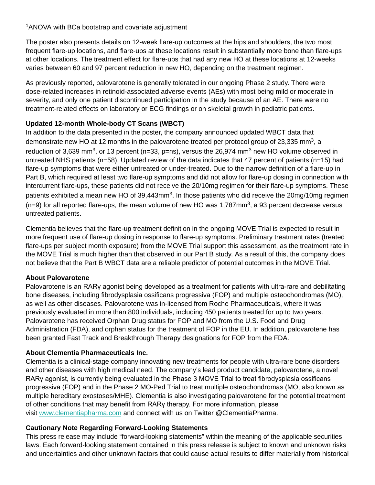## <sup>1</sup>ANOVA with BCa bootstrap and covariate adjustment

The poster also presents details on 12-week flare-up outcomes at the hips and shoulders, the two most frequent flare-up locations, and flare-ups at these locations result in substantially more bone than flare-ups at other locations. The treatment effect for flare-ups that had any new HO at these locations at 12-weeks varies between 60 and 97 percent reduction in new HO, depending on the treatment regimen.

As previously reported, palovarotene is generally tolerated in our ongoing Phase 2 study. There were dose-related increases in retinoid-associated adverse events (AEs) with most being mild or moderate in severity, and only one patient discontinued participation in the study because of an AE. There were no treatment-related effects on laboratory or ECG findings or on skeletal growth in pediatric patients.

## **Updated 12-month Whole-body CT Scans (WBCT)**

In addition to the data presented in the poster, the company announced updated WBCT data that demonstrate new HO at 12 months in the palovarotene treated per protocol group of 23,335 mm<sup>3</sup>, a reduction of 3,639 mm<sup>3</sup>, or 13 percent (n=33, p=ns), versus the 26,974 mm<sup>3</sup> new HO volume observed in untreated NHS patients (n=58). Updated review of the data indicates that 47 percent of patients (n=15) had flare-up symptoms that were either untreated or under-treated. Due to the narrow definition of a flare-up in Part B, which required at least two flare-up symptoms and did not allow for flare-up dosing in connection with intercurrent flare-ups, these patients did not receive the 20/10mg regimen for their flare-up symptoms. These patients exhibited a mean new HO of 39,443mm<sup>3</sup>. In those patients who did receive the 20mg/10mg regimen  $(n=9)$  for all reported flare-ups, the mean volume of new HO was 1,787mm<sup>3</sup>, a 93 percent decrease versus untreated patients.

Clementia believes that the flare-up treatment definition in the ongoing MOVE Trial is expected to result in more frequent use of flare-up dosing in response to flare-up symptoms. Preliminary treatment rates (treated flare-ups per subject month exposure) from the MOVE Trial support this assessment, as the treatment rate in the MOVE Trial is much higher than that observed in our Part B study. As a result of this, the company does not believe that the Part B WBCT data are a reliable predictor of potential outcomes in the MOVE Trial.

## **About Palovarotene**

Palovarotene is an RARγ agonist being developed as a treatment for patients with ultra-rare and debilitating bone diseases, including fibrodysplasia ossificans progressiva (FOP) and multiple osteochondromas (MO), as well as other diseases. Palovarotene was in-licensed from Roche Pharmaceuticals, where it was previously evaluated in more than 800 individuals, including 450 patients treated for up to two years. Palovarotene has received Orphan Drug status for FOP and MO from the U.S. Food and Drug Administration (FDA), and orphan status for the treatment of FOP in the EU. In addition, palovarotene has been granted Fast Track and Breakthrough Therapy designations for FOP from the FDA.

# **About Clementia Pharmaceuticals Inc.**

Clementia is a clinical-stage company innovating new treatments for people with ultra-rare bone disorders and other diseases with high medical need. The company's lead product candidate, palovarotene, a novel RARγ agonist, is currently being evaluated in the Phase 3 MOVE Trial to treat fibrodysplasia ossificans progressiva (FOP) and in the Phase 2 MO-Ped Trial to treat multiple osteochondromas (MO, also known as multiple hereditary exostoses/MHE). Clementia is also investigating palovarotene for the potential treatment of other conditions that may benefit from RARγ therapy. For more information, please visit [www.clementiapharma.com](https://www.globenewswire.com/Tracker?data=6AzoAskdELcV4BS7ZWUcT8Urxpvb1rh0RrExZ-vi7uQJO4Mxk6WgyuggsOUzpizVABE9UGbfb-dBNGNLwWPWsC6J3TJ2TDTrog4h0zC8njpctobZv1Kcgr5i5w2e_Rwzh5-yYgRNlR00nZ8tdKT2ob17dBPg1Rb10NqD5hxAkyZxaXwhCEHnU2NPwLx0jMOyOomtQAY7EHiersKpRbWOCEnF1B-BmzeL0K10IHBBKzxIajrLQUzERmLAALGKOwSvpmuk0noK33NNf2HUBtTHMg==) and connect with us on Twitter @ClementiaPharma.

# **Cautionary Note Regarding Forward-Looking Statements**

This press release may include "forward-looking statements" within the meaning of the applicable securities laws. Each forward-looking statement contained in this press release is subject to known and unknown risks and uncertainties and other unknown factors that could cause actual results to differ materially from historical